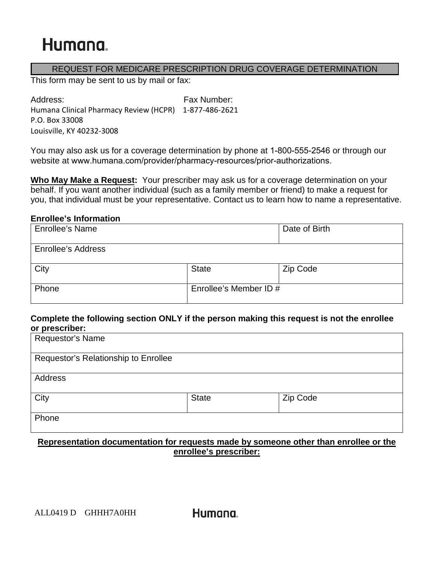#### REQUEST FOR MEDICARE PRESCRIPTION DRUG COVERAGE DETERMINATION

This form may be sent to us by mail or fax:

Address: Fax Number: Humana Clinical Pharmacy Review (HCPR) 1-877-486-2621 P.O. Box 33008 Louisville, KY 40232-3008

You may also ask us for a coverage determination by phone at 1-800-555-2546 or through our website at www.humana.com/provider/pharmacy-resources/prior-authorizations.

**Who May Make a Request:** Your prescriber may ask us for a coverage determination on your behalf. If you want another individual (such as a family member or friend) to make a request for you, that individual must be your representative. Contact us to learn how to name a representative.

#### **Enrollee's Information**

| <b>Enrollee's Name</b>    |                        | Date of Birth |
|---------------------------|------------------------|---------------|
| <b>Enrollee's Address</b> |                        |               |
| City                      | <b>State</b>           | Zip Code      |
| Phone                     | Enrollee's Member ID # |               |

#### **Complete the following section ONLY if the person making this request is not the enrollee or prescriber:**

| Requestor's Name                     |              |          |  |
|--------------------------------------|--------------|----------|--|
| Requestor's Relationship to Enrollee |              |          |  |
| Address                              |              |          |  |
| City                                 | <b>State</b> | Zip Code |  |
| Phone                                |              |          |  |

### **Representation documentation for requests made by someone other than enrollee or the enrollee's prescriber:**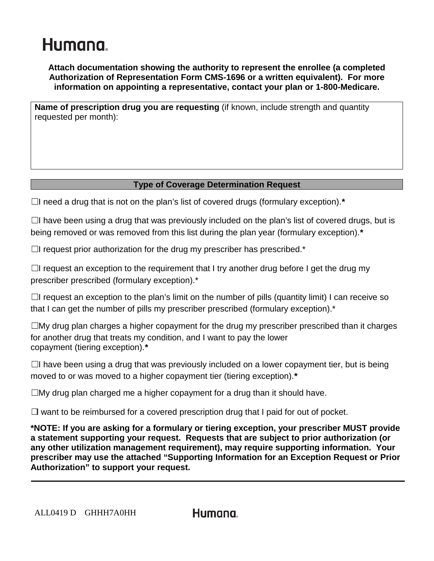**Attach documentation showing the authority to represent the enrollee (a completed Authorization of Representation Form CMS-1696 or a written equivalent). For more information on appointing a representative, contact your plan or 1-800-Medicare.**

**Name of prescription drug you are requesting** (if known, include strength and quantity requested per month):

### **Type of Coverage Determination Request**

☐I need a drug that is not on the plan's list of covered drugs (formulary exception).*\**

 $\Box$ I have been using a drug that was previously included on the plan's list of covered drugs, but is being removed or was removed from this list during the plan year (formulary exception).*\**

 $\Box$ I request prior authorization for the drug my prescriber has prescribed.\*

 $\Box$ I request an exception to the requirement that I try another drug before I get the drug my prescriber prescribed (formulary exception).\*

 $\Box$ I request an exception to the plan's limit on the number of pills (quantity limit) I can receive so that I can get the number of pills my prescriber prescribed (formulary exception).\*

 $\square$ My drug plan charges a higher copayment for the drug my prescriber prescribed than it charges for another drug that treats my condition, and I want to pay the lower copayment (tiering exception).*\**

 $\Box$ I have been using a drug that was previously included on a lower copayment tier, but is being moved to or was moved to a higher copayment tier (tiering exception).*\**

 $\square$ My drug plan charged me a higher copayment for a drug than it should have.

 $\Box$  want to be reimbursed for a covered prescription drug that I paid for out of pocket.

**\*NOTE: If you are asking for a formulary or tiering exception, your prescriber MUST provide a statement supporting your request. Requests that are subject to prior authorization (or any other utilization management requirement), may require supporting information. Your prescriber may use the attached "Supporting Information for an Exception Request or Prior Authorization" to support your request.**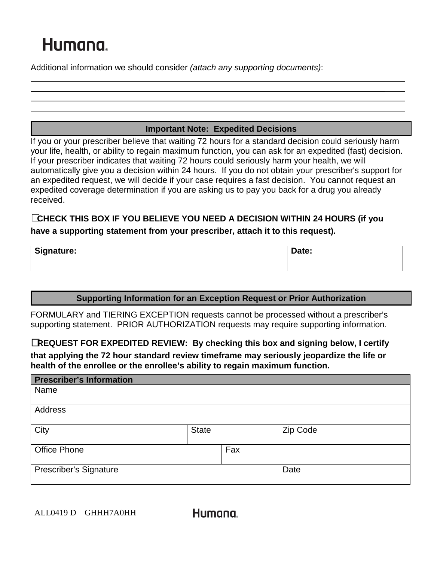Additional information we should consider *(attach any supporting documents)*:

### **Important Note: Expedited Decisions**

If you or your prescriber believe that waiting 72 hours for a standard decision could seriously harm your life, health, or ability to regain maximum function, you can ask for an expedited (fast) decision. If your prescriber indicates that waiting 72 hours could seriously harm your health, we will automatically give you a decision within 24 hours. If you do not obtain your prescriber's support for an expedited request, we will decide if your case requires a fast decision. You cannot request an expedited coverage determination if you are asking us to pay you back for a drug you already received.

### **CHECK THIS BOX IF YOU BELIEVE YOU NEED A DECISION WITHIN 24 HOURS (if you have a supporting statement from your prescriber, attach it to this request).**

| <b>Signature:</b> | Date: |  |
|-------------------|-------|--|
|                   |       |  |

### **Supporting Information for an Exception Request or Prior Authorization**

FORMULARY and TIERING EXCEPTION requests cannot be processed without a prescriber's supporting statement. PRIOR AUTHORIZATION requests may require supporting information.

☐**REQUEST FOR EXPEDITED REVIEW: By checking this box and signing below, I certify** 

**that applying the 72 hour standard review timeframe may seriously jeopardize the life or health of the enrollee or the enrollee's ability to regain maximum function.**

| <b>Prescriber's Information</b> |              |     |          |
|---------------------------------|--------------|-----|----------|
| Name                            |              |     |          |
| Address                         |              |     |          |
| City                            | <b>State</b> |     | Zip Code |
| <b>Office Phone</b>             |              | Fax |          |
| <b>Prescriber's Signature</b>   |              |     | Date     |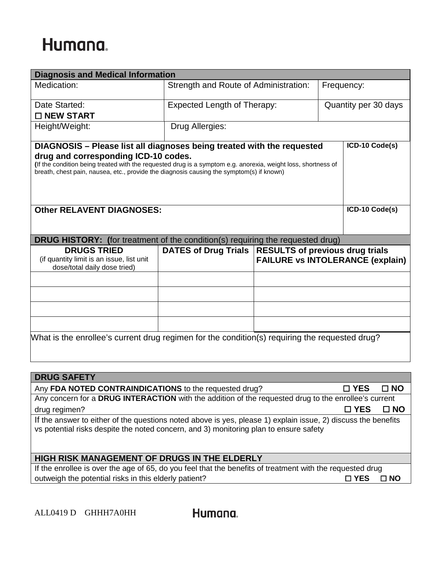| <b>Diagnosis and Medical Information</b>                                                                                                                                                                                                                                                                                                      |                                                        |                                                     |  |                               |  |
|-----------------------------------------------------------------------------------------------------------------------------------------------------------------------------------------------------------------------------------------------------------------------------------------------------------------------------------------------|--------------------------------------------------------|-----------------------------------------------------|--|-------------------------------|--|
| Medication:                                                                                                                                                                                                                                                                                                                                   | Strength and Route of Administration:                  |                                                     |  | Frequency:                    |  |
| Date Started:                                                                                                                                                                                                                                                                                                                                 |                                                        | Expected Length of Therapy:<br>Quantity per 30 days |  |                               |  |
| □ NEW START                                                                                                                                                                                                                                                                                                                                   |                                                        |                                                     |  |                               |  |
| Height/Weight:                                                                                                                                                                                                                                                                                                                                | Drug Allergies:                                        |                                                     |  |                               |  |
| ICD-10 Code(s)<br>DIAGNOSIS - Please list all diagnoses being treated with the requested<br>drug and corresponding ICD-10 codes.<br>(If the condition being treated with the requested drug is a symptom e.g. anorexia, weight loss, shortness of<br>breath, chest pain, nausea, etc., provide the diagnosis causing the symptom(s) if known) |                                                        |                                                     |  |                               |  |
| <b>Other RELAVENT DIAGNOSES:</b>                                                                                                                                                                                                                                                                                                              |                                                        |                                                     |  | ICD-10 Code(s)                |  |
| <b>DRUG HISTORY:</b> (for treatment of the condition(s) requiring the requested drug)                                                                                                                                                                                                                                                         |                                                        |                                                     |  |                               |  |
| <b>DRUGS TRIED</b><br>(if quantity limit is an issue, list unit<br>dose/total daily dose tried)                                                                                                                                                                                                                                               | DATES of Drug Trials   RESULTS of previous drug trials | <b>FAILURE vs INTOLERANCE (explain)</b>             |  |                               |  |
|                                                                                                                                                                                                                                                                                                                                               |                                                        |                                                     |  |                               |  |
|                                                                                                                                                                                                                                                                                                                                               |                                                        |                                                     |  |                               |  |
|                                                                                                                                                                                                                                                                                                                                               |                                                        |                                                     |  |                               |  |
|                                                                                                                                                                                                                                                                                                                                               |                                                        |                                                     |  |                               |  |
| What is the enrollee's current drug regimen for the condition(s) requiring the requested drug?                                                                                                                                                                                                                                                |                                                        |                                                     |  |                               |  |
|                                                                                                                                                                                                                                                                                                                                               |                                                        |                                                     |  |                               |  |
| <b>DRUG SAFETY</b>                                                                                                                                                                                                                                                                                                                            |                                                        |                                                     |  |                               |  |
| Any FDA NOTED CONTRAINDICATIONS to the requested drug?<br>Any concern for a DRUG INTERACTION with the addition of the requested drug to the enrollee's current                                                                                                                                                                                |                                                        |                                                     |  | $\square$ YES<br>$\square$ NO |  |
| drug regimen?                                                                                                                                                                                                                                                                                                                                 |                                                        |                                                     |  | $\square$ YES<br>$\square$ NO |  |
| If the answer to either of the questions noted above is yes, please 1) explain issue, 2) discuss the benefits                                                                                                                                                                                                                                 |                                                        |                                                     |  |                               |  |
| vs potential risks despite the noted concern, and 3) monitoring plan to ensure safety                                                                                                                                                                                                                                                         |                                                        |                                                     |  |                               |  |
| <b>HIGH RISK MANAGEMENT OF DRUGS IN THE ELDERLY</b>                                                                                                                                                                                                                                                                                           |                                                        |                                                     |  |                               |  |
| If the enrollee is over the age of 65, do you feel that the benefits of treatment with the requested drug                                                                                                                                                                                                                                     |                                                        |                                                     |  |                               |  |
| outweigh the potential risks in this elderly patient?                                                                                                                                                                                                                                                                                         |                                                        |                                                     |  | $\square$ YES<br>$\square$ NO |  |
|                                                                                                                                                                                                                                                                                                                                               |                                                        |                                                     |  |                               |  |